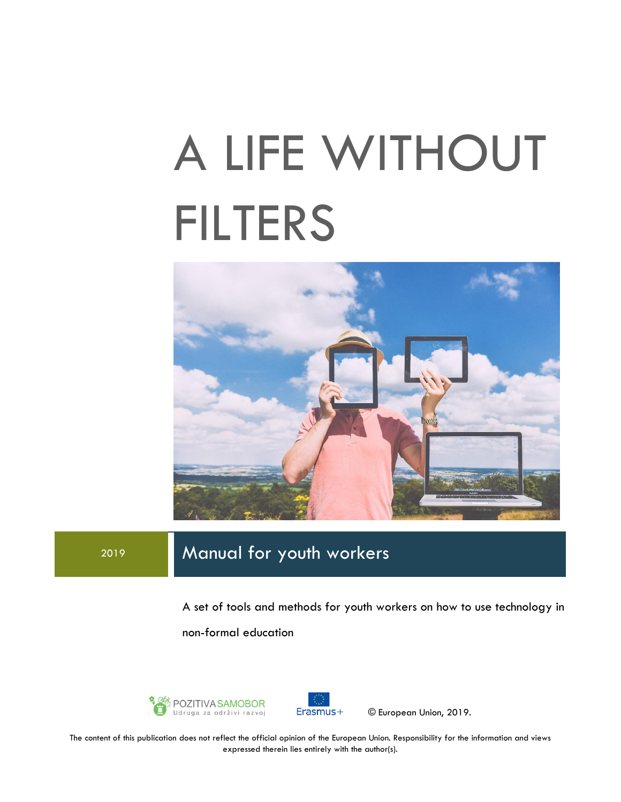# A LIFE WITHOUT FILTERS



# <sup>2019</sup> Manual for youth workers

A set of tools and methods for youth workers on how to use technology in non-formal education





© European Union, 2019.

The content of this publication does not reflect the official opinion of the European Union. Responsibility for the information and views expressed therein lies entirely with the author(s).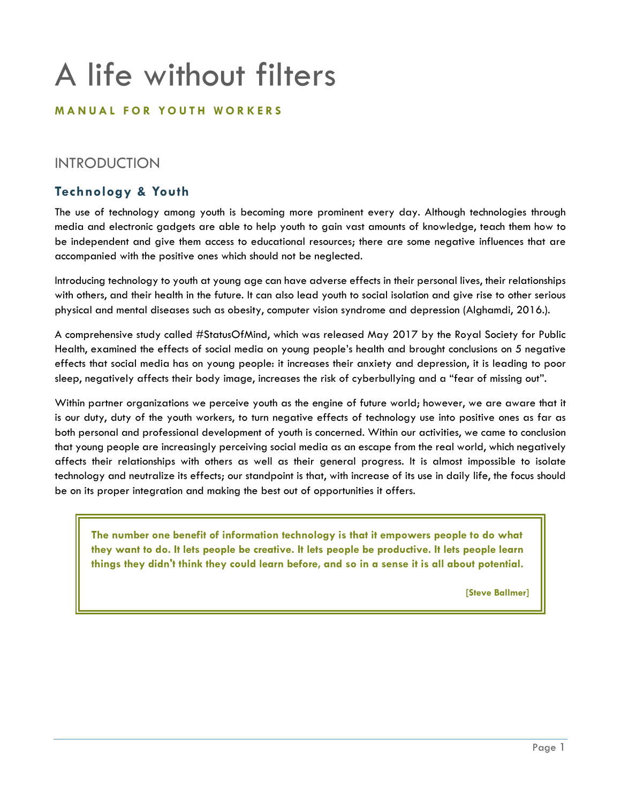# A life without filters

#### **M A N U A L F O R Y O U T H W O R K E R S**

### INTRODUCTION

#### **Technology & Youth**

The use of technology among youth is becoming more prominent every day. Although technologies through media and electronic gadgets are able to help youth to gain vast amounts of knowledge, teach them how to be independent and give them access to educational resources; there are some negative influences that are accompanied with the positive ones which should not be neglected.

Introducing technology to youth at young age can have adverse effects in their personal lives, their relationships with others, and their health in the future. It can also lead youth to social isolation and give rise to other serious physical and mental diseases such as obesity, computer vision syndrome and depression (Alghamdi, 2016.).

A comprehensive study called #StatusOfMind, which was released May 2017 by the Royal Society for Public Health, examined the effects of social media on young people's health and brought conclusions on 5 negative effects that social media has on young people: it increases their anxiety and depression, it is leading to poor sleep, negatively affects their body image, increases the risk of cyberbullying and a "fear of missing out".

Within partner organizations we perceive youth as the engine of future world; however, we are aware that it is our duty, duty of the youth workers, to turn negative effects of technology use into positive ones as far as both personal and professional development of youth is concerned. Within our activities, we came to conclusion that young people are increasingly perceiving social media as an escape from the real world, which negatively affects their relationships with others as well as their general progress. It is almost impossible to isolate technology and neutralize its effects; our standpoint is that, with increase of its use in daily life, the focus should be on its proper integration and making the best out of opportunities it offers.

**The number one benefit of information technology is that it empowers people to do what they want to do. It lets people be creative. It lets people be productive. It lets people learn things they didn't think they could learn before, and so in a sense it is all about potential.** 

**[Steve Ballmer]**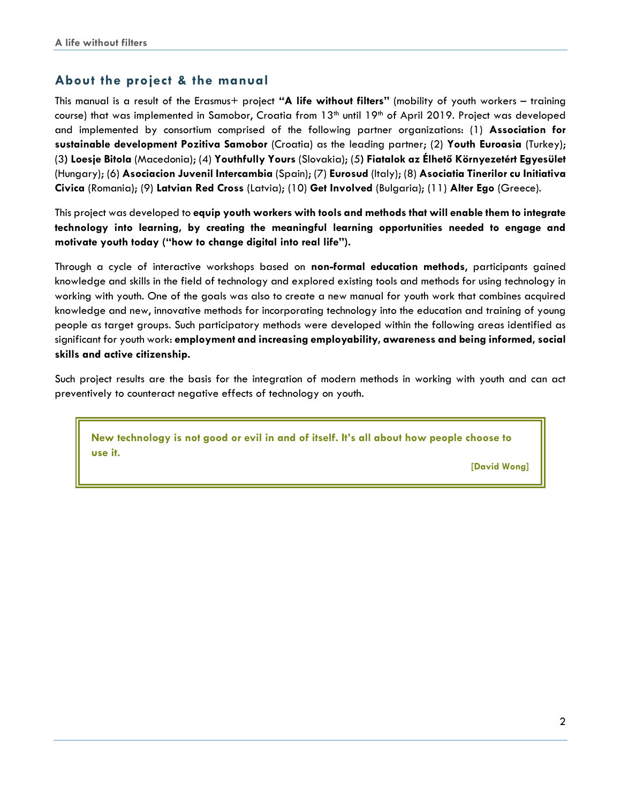#### **About the project & the manual**

This manual is a result of the Erasmus+ project **"A life without filters"** (mobility of youth workers – training course) that was implemented in Samobor, Croatia from 13<sup>th</sup> until 19<sup>th</sup> of April 2019. Project was developed and implemented by consortium comprised of the following partner organizations: (1) **Association for sustainable development Pozitiva Samobor** (Croatia) as the leading partner; (2) **Youth Euroasia** (Turkey); (3**) Loesje Bitola** (Macedonia); (4) **Youthfully Yours** (Slovakia); (5**) Fiatalok az Élhető Környezetért Egyesület** (Hungary); (6) **Asociacion Juvenil Intercambia** (Spain); (7) **Eurosud** (Italy); (8) **Asociatia Tinerilor cu Initiativa Civica** (Romania); (9) **Latvian Red Cross** (Latvia); (10) **Get Involved** (Bulgaria); (11) **Alter Ego** (Greece).

This project was developed to **equip youth workers with tools and methods that will enable them to integrate technology into learning, by creating the meaningful learning opportunities needed to engage and motivate youth today ("how to change digital into real life").**

Through a cycle of interactive workshops based on **non-formal education methods**, participants gained knowledge and skills in the field of technology and explored existing tools and methods for using technology in working with youth. One of the goals was also to create a new manual for youth work that combines acquired knowledge and new, innovative methods for incorporating technology into the education and training of young people as target groups. Such participatory methods were developed within the following areas identified as significant for youth work: **employment and increasing employability, awareness and being informed, social skills and active citizenship.**

Such project results are the basis for the integration of modern methods in working with youth and can act preventively to counteract negative effects of technology on youth.

**New technology is not good or evil in and of itself. It's all about how people choose to use it.** 

**[David Wong]**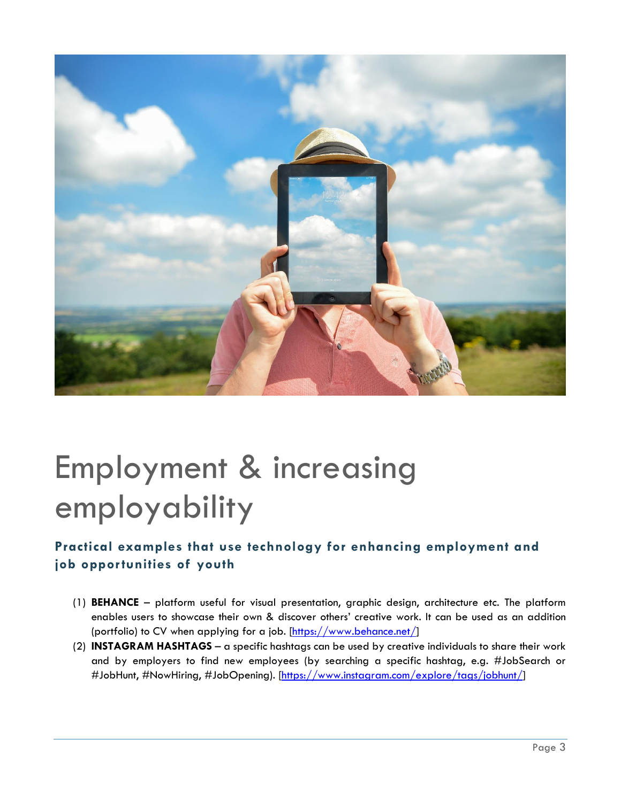

# Employment & increasing employability

## **Practical examples that use technology for enhancing employment and job opportunities of youth**

- (1) **BEHANCE** platform useful for visual presentation, graphic design, architecture etc. The platform enables users to showcase their own & discover others' creative work. It can be used as an addition (portfolio) to CV when applying for a job. [\[https://www.behance.net/\]](https://www.behance.net/)
- (2) **INSTAGRAM HASHTAGS** a specific hashtags can be used by creative individuals to share their work and by employers to find new employees (by searching a specific hashtag, e.g. #JobSearch or #JobHunt, #NowHiring, #JobOpening). [\[https://www.instagram.com/explore/tags/jobhunt/\]](https://www.instagram.com/explore/tags/jobhunt/)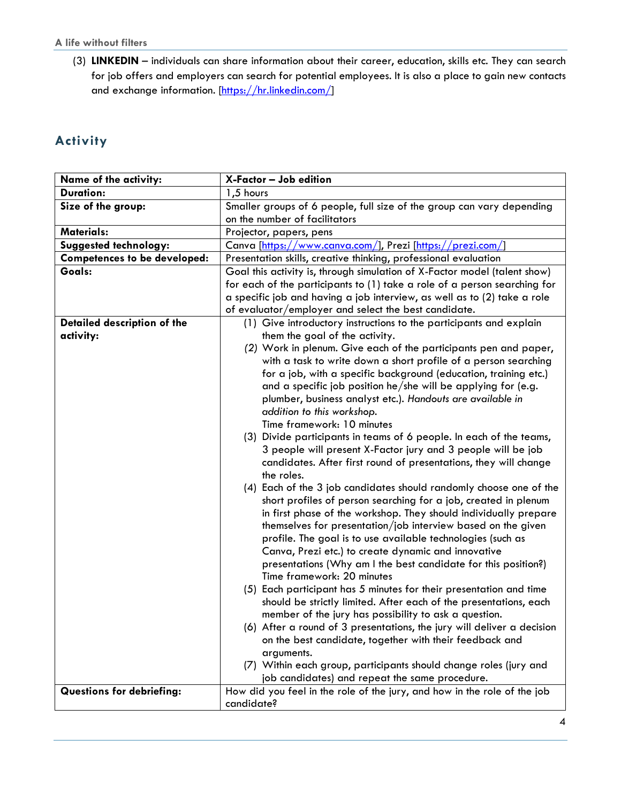#### **A life without filters**

(3) **LINKEDIN** – individuals can share information about their career, education, skills etc. They can search for job offers and employers can search for potential employees. It is also a place to gain new contacts and exchange information. [\[https://hr.linkedin.com/\]](https://hr.linkedin.com/)

### **Activity**

| Name of the activity:               | X-Factor - Job edition                                                         |
|-------------------------------------|--------------------------------------------------------------------------------|
| <b>Duration:</b>                    | 1,5 hours                                                                      |
| Size of the group:                  | Smaller groups of 6 people, full size of the group can vary depending          |
|                                     | on the number of facilitators                                                  |
| <b>Materials:</b>                   | Projector, papers, pens                                                        |
| Suggested technology:               | Canva [https://www.canva.com/], Prezi [https://prezi.com/]                     |
| <b>Competences to be developed:</b> | Presentation skills, creative thinking, professional evaluation                |
| Goals:                              | Goal this activity is, through simulation of X-Factor model (talent show)      |
|                                     | for each of the participants to (1) take a role of a person searching for      |
|                                     | a specific job and having a job interview, as well as to (2) take a role       |
|                                     | of evaluator/employer and select the best candidate.                           |
| Detailed description of the         | (1) Give introductory instructions to the participants and explain             |
| activity:                           | them the goal of the activity.                                                 |
|                                     | (2) Work in plenum. Give each of the participants pen and paper,               |
|                                     | with a task to write down a short profile of a person searching                |
|                                     | for a job, with a specific background (education, training etc.)               |
|                                     | and a specific job position he/she will be applying for (e.g.                  |
|                                     | plumber, business analyst etc.). Handouts are available in                     |
|                                     | addition to this workshop.                                                     |
|                                     | Time framework: 10 minutes                                                     |
|                                     | (3) Divide participants in teams of 6 people. In each of the teams,            |
|                                     | 3 people will present X-Factor jury and 3 people will be job                   |
|                                     | candidates. After first round of presentations, they will change<br>the roles. |
|                                     | (4) Each of the 3 job candidates should randomly choose one of the             |
|                                     | short profiles of person searching for a job, created in plenum                |
|                                     | in first phase of the workshop. They should individually prepare               |
|                                     | themselves for presentation/job interview based on the given                   |
|                                     | profile. The goal is to use available technologies (such as                    |
|                                     | Canva, Prezi etc.) to create dynamic and innovative                            |
|                                     | presentations (Why am I the best candidate for this position?)                 |
|                                     | Time framework: 20 minutes                                                     |
|                                     | (5) Each participant has 5 minutes for their presentation and time             |
|                                     | should be strictly limited. After each of the presentations, each              |
|                                     | member of the jury has possibility to ask a question.                          |
|                                     | (6) After a round of 3 presentations, the jury will deliver a decision         |
|                                     | on the best candidate, together with their feedback and                        |
|                                     | arguments.                                                                     |
|                                     | (7) Within each group, participants should change roles (jury and              |
|                                     | job candidates) and repeat the same procedure.                                 |
| <b>Questions for debriefing:</b>    | How did you feel in the role of the jury, and how in the role of the job       |
|                                     | candidate?                                                                     |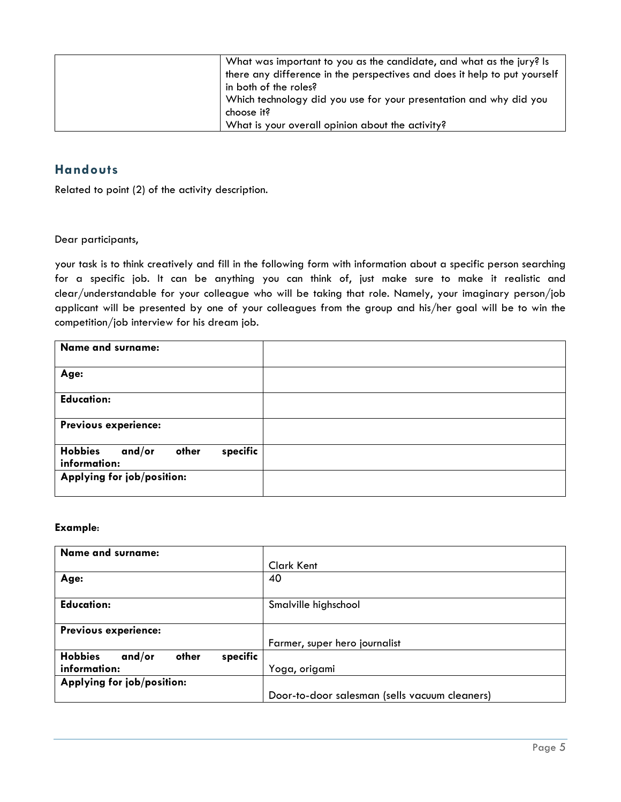| What was important to you as the candidate, and what as the jury? Is      |
|---------------------------------------------------------------------------|
| there any difference in the perspectives and does it help to put yourself |
| in both of the roles?                                                     |
| Which technology did you use for your presentation and why did you        |
| choose it?                                                                |
| What is your overall opinion about the activity?                          |

#### **Handouts**

Related to point (2) of the activity description.

Dear participants,

your task is to think creatively and fill in the following form with information about a specific person searching for a specific job. It can be anything you can think of, just make sure to make it realistic and clear/understandable for your colleague who will be taking that role. Namely, your imaginary person/job applicant will be presented by one of your colleagues from the group and his/her goal will be to win the competition/job interview for his dream job.

| <b>Name and surname:</b>                                      |  |
|---------------------------------------------------------------|--|
| Age:                                                          |  |
| <b>Education:</b>                                             |  |
| Previous experience:                                          |  |
| <b>Hobbies</b><br>specific<br>and/or<br>other<br>information: |  |
| Applying for job/position:                                    |  |

#### **Example**:

| <b>Name and surname:</b>                      |                                               |
|-----------------------------------------------|-----------------------------------------------|
|                                               | Clark Kent                                    |
| Age:                                          | 40                                            |
|                                               |                                               |
| <b>Education:</b>                             | Smalville highschool                          |
|                                               |                                               |
| Previous experience:                          |                                               |
|                                               | Farmer, super hero journalist                 |
| specific<br><b>Hobbies</b><br>and/or<br>other |                                               |
| information:                                  | Yoga, origami                                 |
| Applying for job/position:                    |                                               |
|                                               | Door-to-door salesman (sells vacuum cleaners) |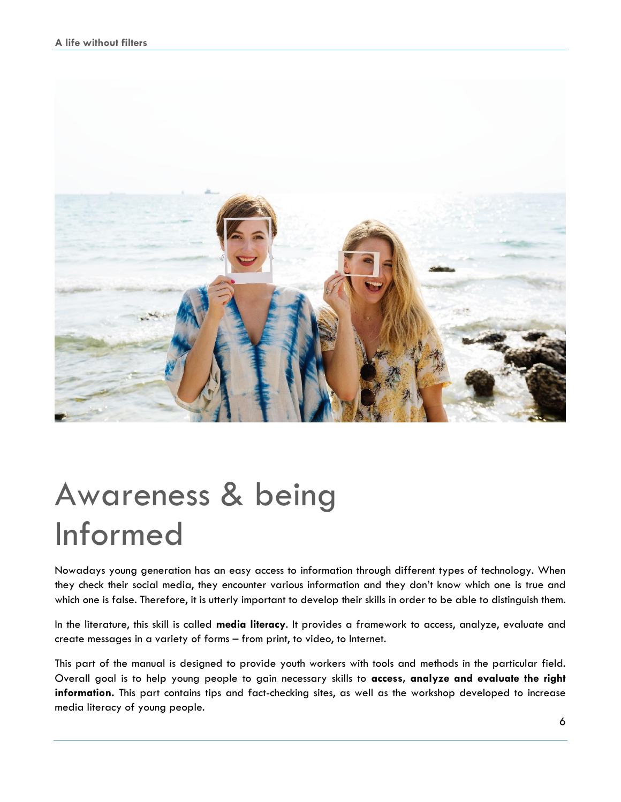

# Awareness & being Informed

Nowadays young generation has an easy access to information through different types of technology. When they check their social media, they encounter various information and they don't know which one is true and which one is false. Therefore, it is utterly important to develop their skills in order to be able to distinguish them.

In the literature, this skill is called **media literacy**. It provides a framework to access, analyze, evaluate and create messages in a variety of forms – from print, to video, to Internet.

This part of the manual is designed to provide youth workers with tools and methods in the particular field. Overall goal is to help young people to gain necessary skills to **access, analyze and evaluate the right information.** This part contains tips and fact-checking sites, as well as the workshop developed to increase media literacy of young people.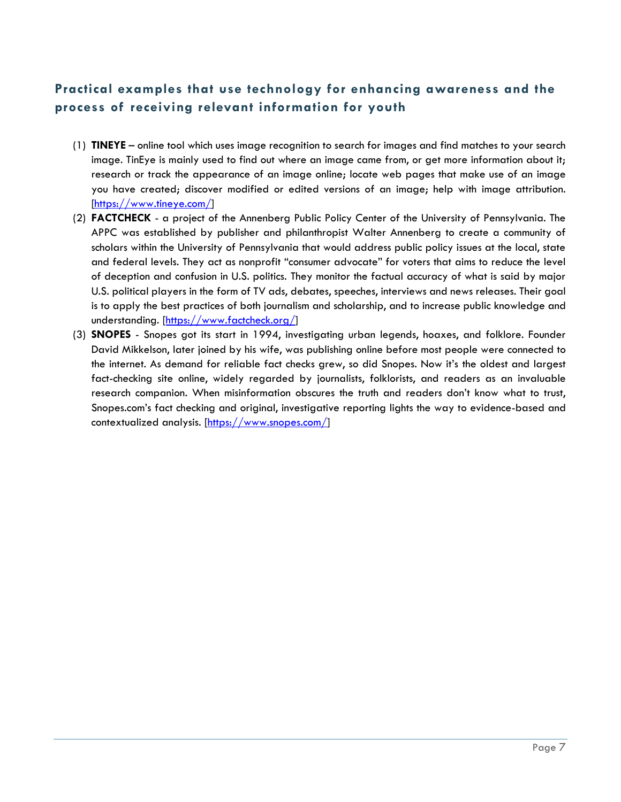#### **Practical examples that use technology for enhancing awareness and the process of receiving relevant information for youth**

- (1) **TINEYE** online tool which uses image recognition to search for images and find matches to your search image. TinEye is mainly used to find out where an image came from, or get more information about it; research or track the appearance of an image online; locate web pages that make use of an image you have created; discover modified or edited versions of an image; help with image attribution. [\[https://www.tineye.com/\]](https://www.tineye.com/)
- (2) **FACTCHECK**  a project of the Annenberg Public Policy Center of the University of Pennsylvania. The APPC was established by publisher and philanthropist Walter Annenberg to create a community of scholars within the University of Pennsylvania that would address public policy issues at the local, state and federal levels. They act as nonprofit "consumer advocate" for voters that aims to reduce the level of deception and confusion in U.S. politics. They monitor the factual accuracy of what is said by major U.S. political players in the form of TV ads, debates, speeches, interviews and news releases. Their goal is to apply the best practices of both journalism and scholarship, and to increase public knowledge and understanding. [\[https://www.factcheck.org/\]](https://www.factcheck.org/)
- (3) **SNOPES**  Snopes got its start in 1994, investigating urban legends, hoaxes, and folklore. Founder David Mikkelson, later joined by his wife, was publishing online before most people were connected to the internet. As demand for reliable fact checks grew, so did Snopes. Now it's the oldest and largest fact-checking site online, widely regarded by journalists, folklorists, and readers as an invaluable research companion. When misinformation obscures the truth and readers don't know what to trust, Snopes.com's fact checking and original, investigative reporting lights the way to evidence-based and contextualized analysis. [\[https://www.snopes.com/\]](https://www.snopes.com/)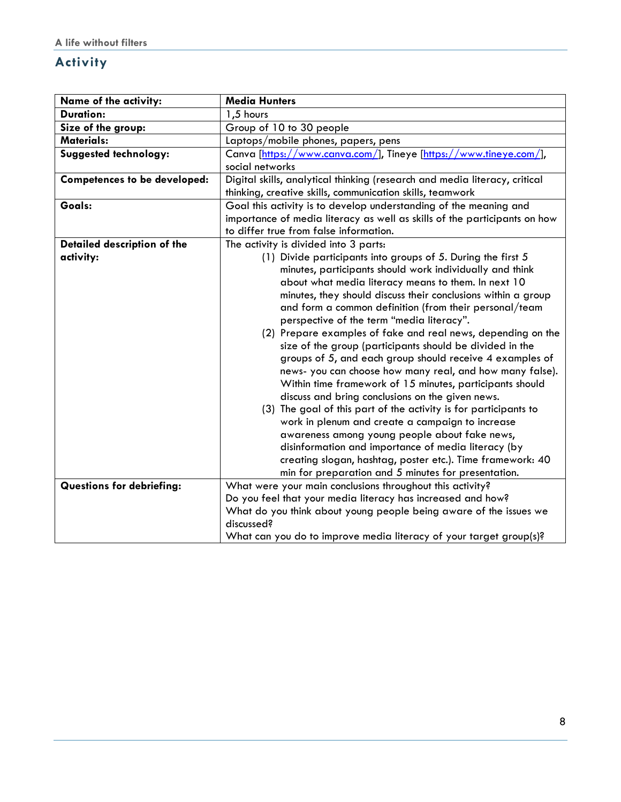### **Activity**

| Name of the activity:                    | <b>Media Hunters</b>                                                                                                                                                                                                                                                                                                                                                                                                                                                                                                                                                                                                                                                                                                                                                                                                                                                                                                                                                                                                                                                                                                      |
|------------------------------------------|---------------------------------------------------------------------------------------------------------------------------------------------------------------------------------------------------------------------------------------------------------------------------------------------------------------------------------------------------------------------------------------------------------------------------------------------------------------------------------------------------------------------------------------------------------------------------------------------------------------------------------------------------------------------------------------------------------------------------------------------------------------------------------------------------------------------------------------------------------------------------------------------------------------------------------------------------------------------------------------------------------------------------------------------------------------------------------------------------------------------------|
| <b>Duration:</b>                         | 1,5 hours                                                                                                                                                                                                                                                                                                                                                                                                                                                                                                                                                                                                                                                                                                                                                                                                                                                                                                                                                                                                                                                                                                                 |
| Size of the group:                       | Group of 10 to 30 people                                                                                                                                                                                                                                                                                                                                                                                                                                                                                                                                                                                                                                                                                                                                                                                                                                                                                                                                                                                                                                                                                                  |
| <b>Materials:</b>                        | Laptops/mobile phones, papers, pens                                                                                                                                                                                                                                                                                                                                                                                                                                                                                                                                                                                                                                                                                                                                                                                                                                                                                                                                                                                                                                                                                       |
| Suggested technology:                    | Canva [https://www.canva.com/], Tineye [https://www.tineye.com/],<br>social networks                                                                                                                                                                                                                                                                                                                                                                                                                                                                                                                                                                                                                                                                                                                                                                                                                                                                                                                                                                                                                                      |
| <b>Competences to be developed:</b>      | Digital skills, analytical thinking (research and media literacy, critical<br>thinking, creative skills, communication skills, teamwork                                                                                                                                                                                                                                                                                                                                                                                                                                                                                                                                                                                                                                                                                                                                                                                                                                                                                                                                                                                   |
| Goals:                                   | Goal this activity is to develop understanding of the meaning and<br>importance of media literacy as well as skills of the participants on how<br>to differ true from false information.                                                                                                                                                                                                                                                                                                                                                                                                                                                                                                                                                                                                                                                                                                                                                                                                                                                                                                                                  |
| Detailed description of the<br>activity: | The activity is divided into 3 parts:<br>(1) Divide participants into groups of 5. During the first 5<br>minutes, participants should work individually and think<br>about what media literacy means to them. In next 10<br>minutes, they should discuss their conclusions within a group<br>and form a common definition (from their personal/team<br>perspective of the term "media literacy".<br>(2) Prepare examples of fake and real news, depending on the<br>size of the group (participants should be divided in the<br>groups of 5, and each group should receive 4 examples of<br>news- you can choose how many real, and how many false).<br>Within time framework of 15 minutes, participants should<br>discuss and bring conclusions on the given news.<br>(3) The goal of this part of the activity is for participants to<br>work in plenum and create a campaign to increase<br>awareness among young people about fake news,<br>disinformation and importance of media literacy (by<br>creating slogan, hashtag, poster etc.). Time framework: 40<br>min for preparation and 5 minutes for presentation. |
| <b>Questions for debriefing:</b>         | What were your main conclusions throughout this activity?<br>Do you feel that your media literacy has increased and how?<br>What do you think about young people being aware of the issues we<br>discussed?<br>What can you do to improve media literacy of your target group(s)?                                                                                                                                                                                                                                                                                                                                                                                                                                                                                                                                                                                                                                                                                                                                                                                                                                         |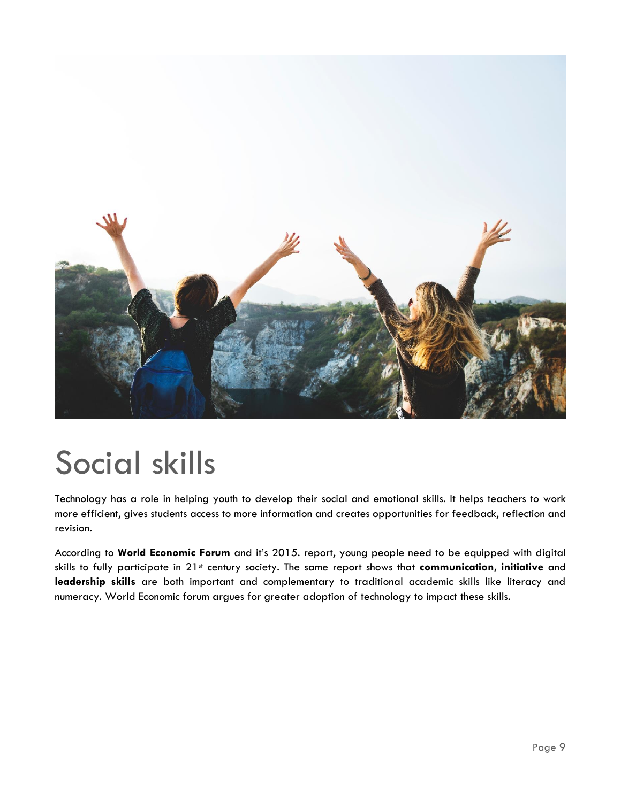

# Social skills

Technology has a role in helping youth to develop their social and emotional skills. It helps teachers to work more efficient, gives students access to more information and creates opportunities for feedback, reflection and revision.

According to **World Economic Forum** and it's 2015. report, young people need to be equipped with digital skills to fully participate in 21st century society. The same report shows that **communication, initiative** and **leadership skills** are both important and complementary to traditional academic skills like literacy and numeracy. World Economic forum argues for greater adoption of technology to impact these skills.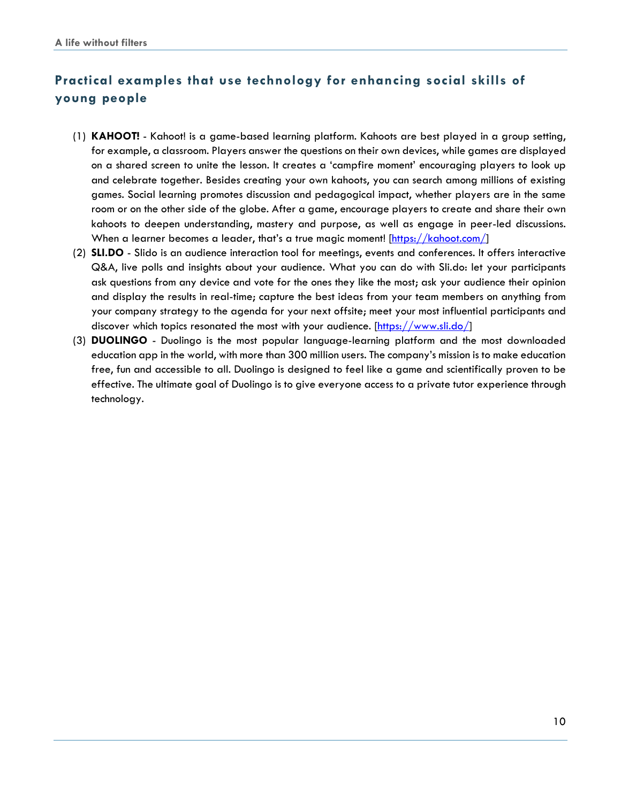# **Practical examples that use technology for enhancing social skills of young people**

- (1) **KAHOOT!** Kahoot! is a game-based learning platform. Kahoots are best played in a group setting, for example, a classroom. Players answer the questions on their own devices, while games are displayed on a shared screen to unite the lesson. It creates a 'campfire moment' encouraging players to look up and celebrate together. Besides creating your own kahoots, you can search among millions of existing games. Social learning promotes discussion and pedagogical impact, whether players are in the same room or on the other side of the globe. After a game, encourage players to create and share their own kahoots to deepen understanding, mastery and purpose, as well as engage in peer-led discussions. When a learner becomes a leader, that's a true magic moment! [\[https://kahoot.com/\]](https://kahoot.com/)
- (2) **SLI.DO** Slido is an audience interaction tool for meetings, events and conferences. It offers interactive Q&A, live polls and insights about your audience. What you can do with Sli.do: let your participants ask questions from any device and vote for the ones they like the most; ask your audience their opinion and display the results in real-time; capture the best ideas from your team members on anything from your company strategy to the agenda for your next offsite; meet your most influential participants and discover which topics resonated the most with your audience. [\[https://www.sli.do/\]](https://www.sli.do/)
- (3) **DUOLINGO**  Duolingo is the most popular language-learning platform and the most downloaded education app in the world, with more than 300 million users. The company's mission is to make education free, fun and accessible to all. Duolingo is designed to feel like a game and scientifically proven to be effective. The ultimate goal of Duolingo is to give everyone access to a private tutor experience through technology.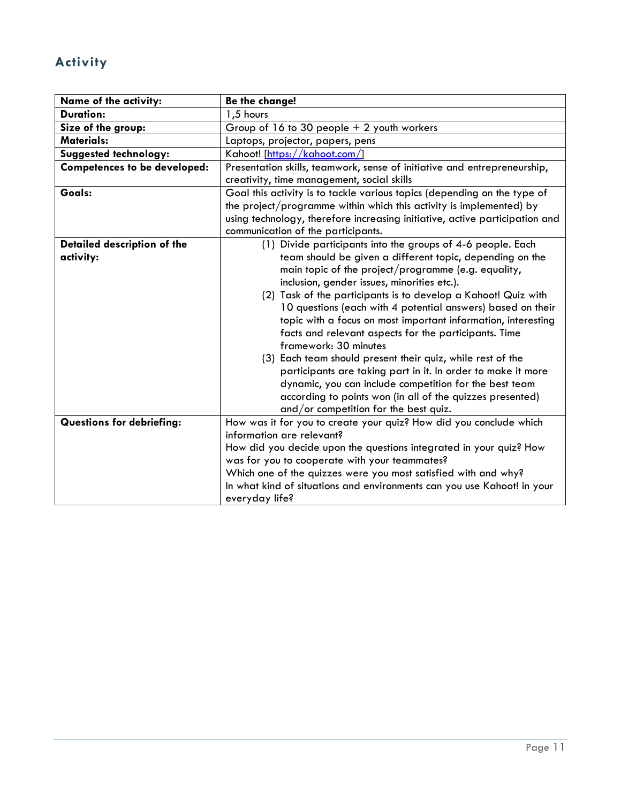# **Activity**

| Name of the activity:            | Be the change!                                                                                  |
|----------------------------------|-------------------------------------------------------------------------------------------------|
| <b>Duration:</b>                 | 1,5 hours                                                                                       |
| Size of the group:               | Group of $16$ to $30$ people $+2$ youth workers                                                 |
| <b>Materials:</b>                | Laptops, projector, papers, pens                                                                |
| Suggested technology:            | Kahoot! [https://kahoot.com/]                                                                   |
| Competences to be developed:     | Presentation skills, teamwork, sense of initiative and entrepreneurship,                        |
|                                  | creativity, time management, social skills                                                      |
| Goals:                           | Goal this activity is to tackle various topics (depending on the type of                        |
|                                  | the project/programme within which this activity is implemented) by                             |
|                                  | using technology, therefore increasing initiative, active participation and                     |
|                                  | communication of the participants.                                                              |
| Detailed description of the      | (1) Divide participants into the groups of 4-6 people. Each                                     |
| activity:                        | team should be given a different topic, depending on the                                        |
|                                  | main topic of the project/programme (e.g. equality,                                             |
|                                  | inclusion, gender issues, minorities etc.).                                                     |
|                                  | (2) Task of the participants is to develop a Kahoot! Quiz with                                  |
|                                  | 10 questions (each with 4 potential answers) based on their                                     |
|                                  | topic with a focus on most important information, interesting                                   |
|                                  | facts and relevant aspects for the participants. Time                                           |
|                                  | framework: 30 minutes                                                                           |
|                                  | (3) Each team should present their quiz, while rest of the                                      |
|                                  | participants are taking part in it. In order to make it more                                    |
|                                  | dynamic, you can include competition for the best team                                          |
|                                  | according to points won (in all of the quizzes presented)                                       |
| <b>Questions for debriefing:</b> | and/or competition for the best quiz.                                                           |
|                                  | How was it for you to create your quiz? How did you conclude which<br>information are relevant? |
|                                  | How did you decide upon the questions integrated in your quiz? How                              |
|                                  | was for you to cooperate with your teammates?                                                   |
|                                  | Which one of the quizzes were you most satisfied with and why?                                  |
|                                  | In what kind of situations and environments can you use Kahoot! in your                         |
|                                  |                                                                                                 |
|                                  | everyday life?                                                                                  |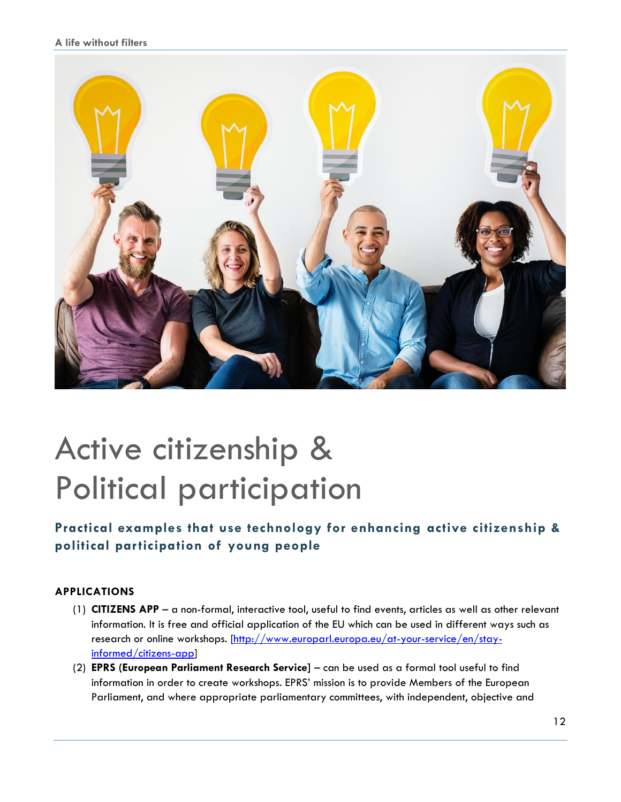#### **A life without filters**



# Active citizenship & Political participation

## **Practical examples that use technology for enhancing active citizenship & political participation of young people**

#### **APPLICATIONS**

- (1) **CITIZENS APP** a non-formal, interactive tool, useful to find events, articles as well as other relevant information. It is free and official application of the EU which can be used in different ways such as research or online workshops. [\[http://www.europarl.europa.eu/at-your-service/en/stay](http://www.europarl.europa.eu/at-your-service/en/stay-informed/citizens-app)[informed/citizens-app\]](http://www.europarl.europa.eu/at-your-service/en/stay-informed/citizens-app)
- (2) **EPRS (European Parliament Research Service]**  can be used as a formal tool useful to find information in order to create workshops. EPRS' mission is to provide Members of the European Parliament, and where appropriate parliamentary committees, with independent, objective and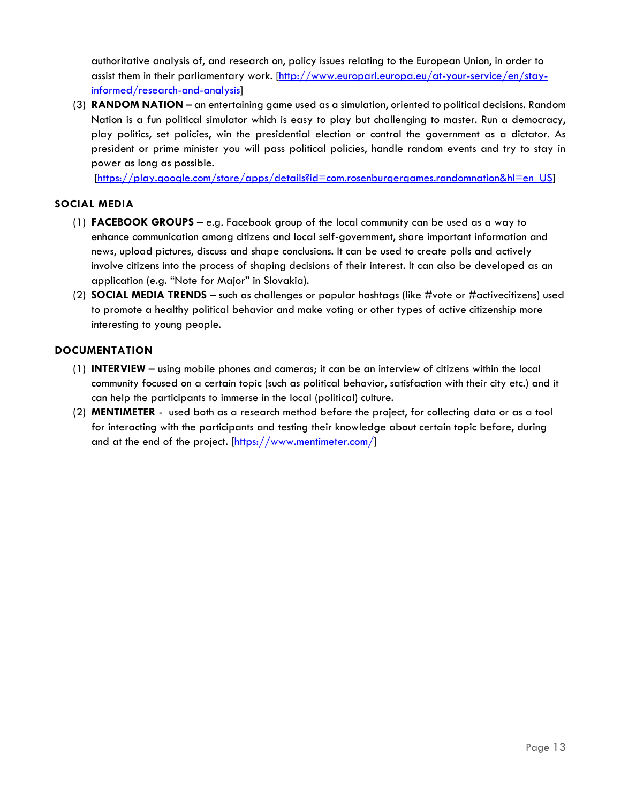authoritative analysis of, and research on, policy issues relating to the European Union, in order to assist them in their parliamentary work. [\[http://www.europarl.europa.eu/at-your-service/en/stay](http://www.europarl.europa.eu/at-your-service/en/stay-informed/research-and-analysis)[informed/research-and-analysis\]](http://www.europarl.europa.eu/at-your-service/en/stay-informed/research-and-analysis)

(3) **RANDOM NATION** – an entertaining game used as a simulation, oriented to political decisions. Random Nation is a fun political simulator which is easy to play but challenging to master. Run a democracy, play politics, set policies, win the presidential election or control the government as a dictator. As president or prime minister you will pass political policies, handle random events and try to stay in power as long as possible.

[\[https://play.google.com/store/apps/details?id=com.rosenburgergames.randomnation&hl=en\\_US\]](https://play.google.com/store/apps/details?id=com.rosenburgergames.randomnation&hl=en_US)

#### **SOCIAL MEDIA**

- (1) **FACEBOOK GROUPS** e.g. Facebook group of the local community can be used as a way to enhance communication among citizens and local self-government, share important information and news, upload pictures, discuss and shape conclusions. It can be used to create polls and actively involve citizens into the process of shaping decisions of their interest. It can also be developed as an application (e.g. "Note for Major" in Slovakia).
- (2) **SOCIAL MEDIA TRENDS** such as challenges or popular hashtags (like #vote or #activecitizens) used to promote a healthy political behavior and make voting or other types of active citizenship more interesting to young people.

#### **DOCUMENTATION**

- (1) **INTERVIEW** using mobile phones and cameras; it can be an interview of citizens within the local community focused on a certain topic (such as political behavior, satisfaction with their city etc.) and it can help the participants to immerse in the local (political) culture.
- (2) **MENTIMETER** used both as a research method before the project, for collecting data or as a tool for interacting with the participants and testing their knowledge about certain topic before, during and at the end of the project. [\[https://www.mentimeter.com/\]](https://www.mentimeter.com/)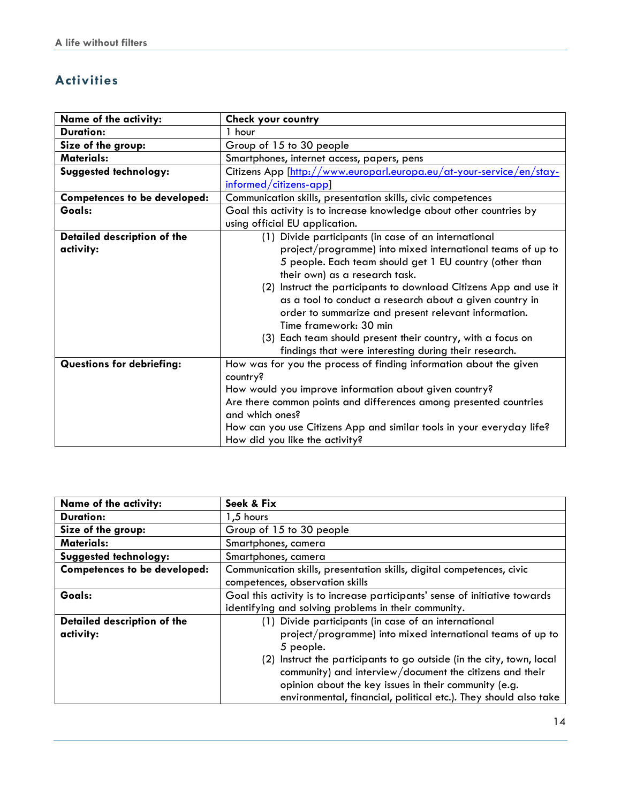## **Activities**

| Name of the activity:               | Check your country                                                    |
|-------------------------------------|-----------------------------------------------------------------------|
| <b>Duration:</b>                    | 1 hour                                                                |
| Size of the group:                  | Group of 15 to 30 people                                              |
| <b>Materials:</b>                   | Smartphones, internet access, papers, pens                            |
| Suggested technology:               | Citizens App [http://www.europarl.europa.eu/at-your-service/en/stay-  |
|                                     | $informed/citizens-app$                                               |
| <b>Competences to be developed:</b> | Communication skills, presentation skills, civic competences          |
| Goals:                              | Goal this activity is to increase knowledge about other countries by  |
|                                     | using official EU application.                                        |
| Detailed description of the         | (1) Divide participants (in case of an international                  |
| activity:                           | project/programme) into mixed international teams of up to            |
|                                     | 5 people. Each team should get 1 EU country (other than               |
|                                     | their own) as a research task.                                        |
|                                     | (2) Instruct the participants to download Citizens App and use it     |
|                                     | as a tool to conduct a research about a given country in              |
|                                     | order to summarize and present relevant information.                  |
|                                     | Time framework: 30 min                                                |
|                                     | (3) Each team should present their country, with a focus on           |
|                                     | findings that were interesting during their research.                 |
| <b>Questions for debriefing:</b>    | How was for you the process of finding information about the given    |
|                                     | country?                                                              |
|                                     | How would you improve information about given country?                |
|                                     | Are there common points and differences among presented countries     |
|                                     | and which ones?                                                       |
|                                     | How can you use Citizens App and similar tools in your everyday life? |
|                                     | How did you like the activity?                                        |

| Name of the activity:               | Seek & Fix                                                                  |
|-------------------------------------|-----------------------------------------------------------------------------|
| <b>Duration:</b>                    | 1,5 hours                                                                   |
| Size of the group:                  | Group of 15 to 30 people                                                    |
| <b>Materials:</b>                   | Smartphones, camera                                                         |
| Suggested technology:               | Smartphones, camera                                                         |
| <b>Competences to be developed:</b> | Communication skills, presentation skills, digital competences, civic       |
|                                     | competences, observation skills                                             |
| Goals:                              | Goal this activity is to increase participants' sense of initiative towards |
|                                     | identifying and solving problems in their community.                        |
| Detailed description of the         | (1) Divide participants (in case of an international                        |
| activity:                           | project/programme) into mixed international teams of up to                  |
|                                     | 5 people.                                                                   |
|                                     | (2) Instruct the participants to go outside (in the city, town, local       |
|                                     | community) and interview/document the citizens and their                    |
|                                     | opinion about the key issues in their community (e.g.                       |
|                                     | environmental, financial, political etc.). They should also take            |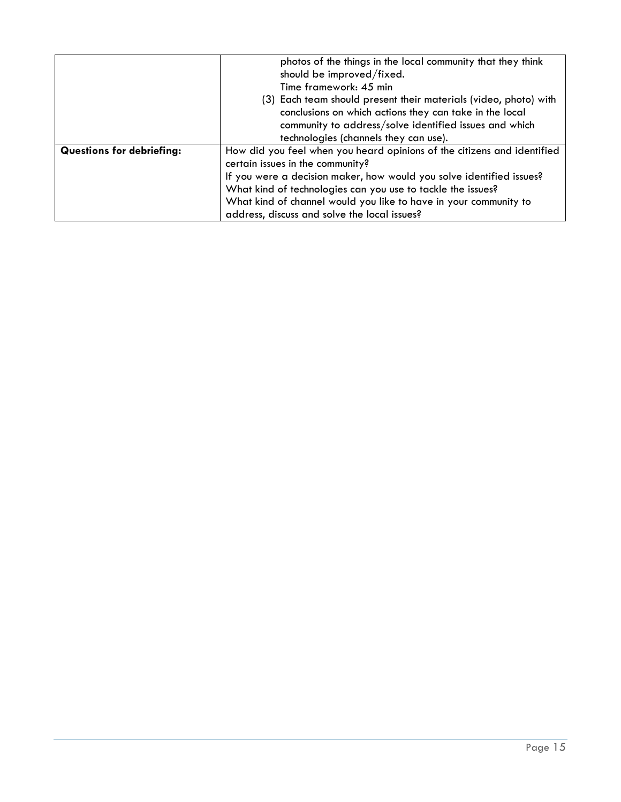|                                  | photos of the things in the local community that they think<br>should be improved/fixed.<br>Time framework: 45 min<br>(3) Each team should present their materials (video, photo) with<br>conclusions on which actions they can take in the local<br>community to address/solve identified issues and which |
|----------------------------------|-------------------------------------------------------------------------------------------------------------------------------------------------------------------------------------------------------------------------------------------------------------------------------------------------------------|
|                                  | technologies (channels they can use).                                                                                                                                                                                                                                                                       |
| <b>Questions for debriefing:</b> | How did you feel when you heard opinions of the citizens and identified<br>certain issues in the community?                                                                                                                                                                                                 |
|                                  | If you were a decision maker, how would you solve identified issues?                                                                                                                                                                                                                                        |
|                                  | What kind of technologies can you use to tackle the issues?                                                                                                                                                                                                                                                 |
|                                  | What kind of channel would you like to have in your community to                                                                                                                                                                                                                                            |
|                                  | address, discuss and solve the local issues?                                                                                                                                                                                                                                                                |